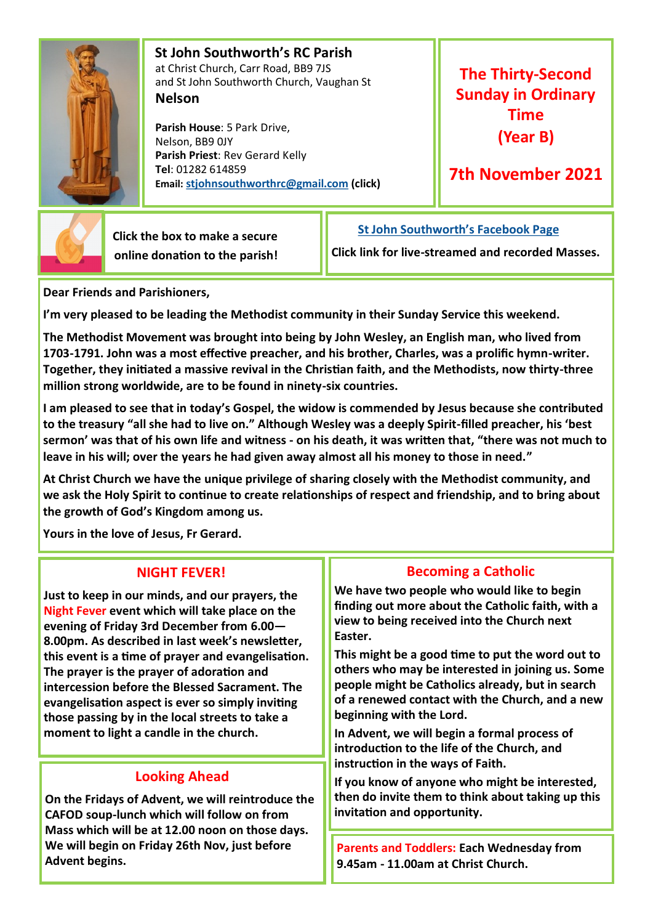

 **St John Southworth's RC Parish** at Christ Church, Carr Road, BB9 7JS and St John Southworth Church, Vaughan St **Nelson**

 **Parish House**: 5 Park Drive, Nelson, BB9 0JY **Parish Priest**: Rev Gerard Kelly **Tel**: 01282 614859 **Email: [stjohnsouthworthrc@gmail.com](mailto:stjohnsouthworth@gmail.com) (click)**

**The Thirty-Second Sunday in Ordinary Time (Year B)**

**7th November 2021**



 **Click the box to make a secure online donation to the parish!** **[St John Southworth's Facebook Page](https://www.facebook.com/Parish-of-St-John-Southworth-in-Nelson-105718084323986)**

**Click link for live-streamed and recorded Masses.**

**Dear Friends and Parishioners,**

**I'm very pleased to be leading the Methodist community in their Sunday Service this weekend.** 

**The Methodist Movement was brought into being by John Wesley, an English man, who lived from 1703-1791. John was a most effective preacher, and his brother, Charles, was a prolific hymn-writer. Together, they initiated a massive revival in the Christian faith, and the Methodists, now thirty-three million strong worldwide, are to be found in ninety-six countries.**

**I am pleased to see that in today's Gospel, the widow is commended by Jesus because she contributed to the treasury "all she had to live on." Although Wesley was a deeply Spirit-filled preacher, his 'best sermon' was that of his own life and witness - on his death, it was written that, "there was not much to leave in his will; over the years he had given away almost all his money to those in need."** 

**At Christ Church we have the unique privilege of sharing closely with the Methodist community, and we ask the Holy Spirit to continue to create relationships of respect and friendship, and to bring about the growth of God's Kingdom among us.**

**Yours in the love of Jesus, Fr Gerard.**

## **NIGHT FEVER!**

**Just to keep in our minds, and our prayers, the Night Fever event which will take place on the evening of Friday 3rd December from 6.00— 8.00pm. As described in last week's newsletter, this event is a time of prayer and evangelisation. The prayer is the prayer of adoration and intercession before the Blessed Sacrament. The evangelisation aspect is ever so simply inviting those passing by in the local streets to take a moment to light a candle in the church.** 

# **Looking Ahead**

**On the Fridays of Advent, we will reintroduce the CAFOD soup-lunch which will follow on from Mass which will be at 12.00 noon on those days. We will begin on Friday 26th Nov, just before Advent begins.** 

## **Becoming a Catholic**

**We have two people who would like to begin finding out more about the Catholic faith, with a view to being received into the Church next Easter.** 

**This might be a good time to put the word out to others who may be interested in joining us. Some people might be Catholics already, but in search of a renewed contact with the Church, and a new beginning with the Lord.** 

**In Advent, we will begin a formal process of introduction to the life of the Church, and instruction in the ways of Faith.** 

**If you know of anyone who might be interested, then do invite them to think about taking up this invitation and opportunity.** 

**Parents and Toddlers: Each Wednesday from 9.45am - 11.00am at Christ Church.**